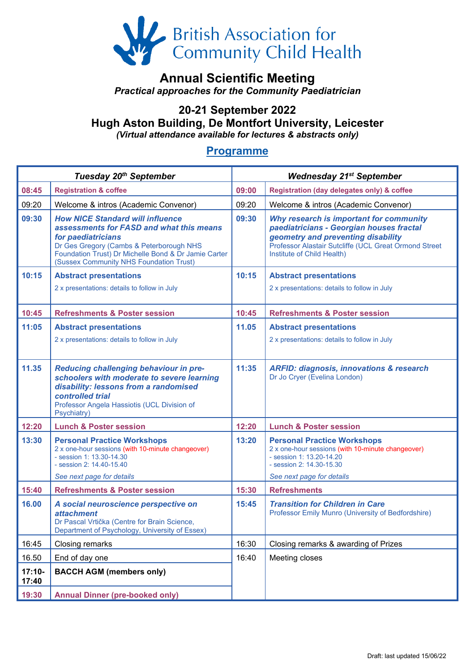

## **Annual Scientific Meeting**

*Practical approaches for the Community Paediatrician*

# **20-21 September 2022 Hugh Aston Building, De Montfort University, Leicester**

*(Virtual attendance available for lectures & abstracts only)*

#### **Programme**

| Tuesday 20 <sup>th</sup> September |                                                                                                                                                                                                                                                          | <b>Wednesday 21st September</b> |                                                                                                                                                                                                                  |
|------------------------------------|----------------------------------------------------------------------------------------------------------------------------------------------------------------------------------------------------------------------------------------------------------|---------------------------------|------------------------------------------------------------------------------------------------------------------------------------------------------------------------------------------------------------------|
| 08:45                              | <b>Registration &amp; coffee</b>                                                                                                                                                                                                                         | 09:00                           | <b>Registration (day delegates only) &amp; coffee</b>                                                                                                                                                            |
| 09:20                              | Welcome & intros (Academic Convenor)                                                                                                                                                                                                                     | 09:20                           | Welcome & intros (Academic Convenor)                                                                                                                                                                             |
| 09:30                              | <b>How NICE Standard will influence</b><br>assessments for FASD and what this means<br>for paediatricians<br>Dr Ges Gregory (Cambs & Peterborough NHS<br>Foundation Trust) Dr Michelle Bond & Dr Jamie Carter<br>(Sussex Community NHS Foundation Trust) | 09:30                           | Why research is important for community<br>paediatricians - Georgian houses fractal<br>geometry and preventing disability<br>Professor Alastair Sutcliffe (UCL Great Ormond Street<br>Institute of Child Health) |
| 10:15                              | <b>Abstract presentations</b>                                                                                                                                                                                                                            | 10:15                           | <b>Abstract presentations</b>                                                                                                                                                                                    |
|                                    | 2 x presentations: details to follow in July                                                                                                                                                                                                             |                                 | 2 x presentations: details to follow in July                                                                                                                                                                     |
| 10:45                              | <b>Refreshments &amp; Poster session</b>                                                                                                                                                                                                                 | 10:45                           | <b>Refreshments &amp; Poster session</b>                                                                                                                                                                         |
| 11:05                              | <b>Abstract presentations</b>                                                                                                                                                                                                                            | 11.05                           | <b>Abstract presentations</b>                                                                                                                                                                                    |
|                                    | 2 x presentations: details to follow in July                                                                                                                                                                                                             |                                 | 2 x presentations: details to follow in July                                                                                                                                                                     |
| 11.35                              | Reducing challenging behaviour in pre-<br>schoolers with moderate to severe learning<br>disability: lessons from a randomised<br>controlled trial<br>Professor Angela Hassiotis (UCL Division of<br>Psychiatry)                                          | 11:35                           | <b>ARFID: diagnosis, innovations &amp; research</b><br>Dr Jo Cryer (Evelina London)                                                                                                                              |
| 12:20                              | <b>Lunch &amp; Poster session</b>                                                                                                                                                                                                                        | 12:20                           | <b>Lunch &amp; Poster session</b>                                                                                                                                                                                |
| 13:30                              | <b>Personal Practice Workshops</b><br>2 x one-hour sessions (with 10-minute changeover)<br>- session 1: 13.30-14.30<br>- session 2: 14.40-15.40<br>See next page for details                                                                             | 13:20                           | <b>Personal Practice Workshops</b><br>2 x one-hour sessions (with 10-minute changeover)<br>- session 1: 13.20-14.20<br>- session 2: 14.30-15.30<br>See next page for details                                     |
| 15:40                              | <b>Refreshments &amp; Poster session</b>                                                                                                                                                                                                                 | 15:30                           | <b>Refreshments</b>                                                                                                                                                                                              |
| 16.00                              | A social neuroscience perspective on<br><i>attachment</i><br>Dr Pascal Vrtička (Centre for Brain Science,<br>Department of Psychology, University of Essex)                                                                                              | 15:45                           | <b>Transition for Children in Care</b><br>Professor Emily Munro (University of Bedfordshire)                                                                                                                     |
| 16:45                              | Closing remarks                                                                                                                                                                                                                                          | 16:30                           | Closing remarks & awarding of Prizes                                                                                                                                                                             |
| 16.50                              | End of day one                                                                                                                                                                                                                                           | 16:40                           | Meeting closes                                                                                                                                                                                                   |
| $17:10-$<br>17:40                  | <b>BACCH AGM (members only)</b>                                                                                                                                                                                                                          |                                 |                                                                                                                                                                                                                  |
| 19:30                              | <b>Annual Dinner (pre-booked only)</b>                                                                                                                                                                                                                   |                                 |                                                                                                                                                                                                                  |